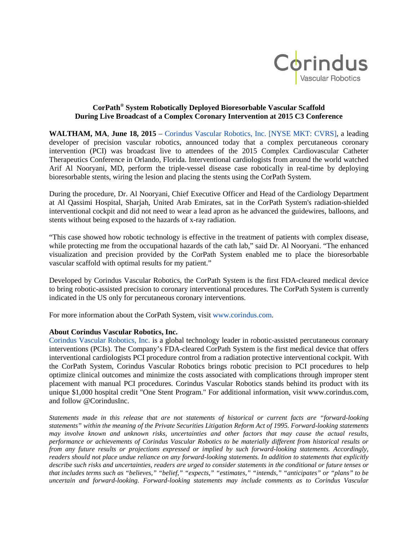

## **CorPath® System Robotically Deployed Bioresorbable Vascular Scaffold During Live Broadcast of a Complex Coronary Intervention at 2015 C3 Conference**

**WALTHAM, MA**, **June 18, 2015** – [Corindus Vascular Robotics,](http://www.corindus.com/) Inc. [NYSE MKT: CVRS], a leading developer of precision vascular robotics, announced today that a complex percutaneous coronary intervention (PCI) was broadcast live to attendees of the 2015 Complex Cardiovascular Catheter Therapeutics Conference in Orlando, Florida. Interventional cardiologists from around the world watched Arif Al Nooryani, MD, perform the triple-vessel disease case robotically in real-time by deploying bioresorbable stents, wiring the lesion and placing the stents using the CorPath System.

During the procedure, Dr. Al Nooryani, Chief Executive Officer and Head of the Cardiology Department at Al Qassimi Hospital, Sharjah, United Arab Emirates, sat in the CorPath System's radiation-shielded interventional cockpit and did not need to wear a lead apron as he advanced the guidewires, balloons, and stents without being exposed to the hazards of x-ray radiation.

"This case showed how robotic technology is effective in the treatment of patients with complex disease, while protecting me from the occupational hazards of the cath lab," said Dr. Al Nooryani. "The enhanced visualization and precision provided by the CorPath System enabled me to place the bioresorbable vascular scaffold with optimal results for my patient."

Developed by Corindus Vascular Robotics, the CorPath System is the first FDA-cleared medical device to bring robotic-assisted precision to coronary interventional procedures. The CorPath System is currently indicated in the US only for percutaneous coronary interventions.

For more information about the CorPath System, visit [www.corindus.com.](http://www.corindus.com/)

## **About Corindus Vascular Robotics, Inc.**

[Corindus Vascular Robotics, Inc.](http://www.corindus.com/) is a global technology leader in robotic-assisted percutaneous coronary interventions (PCIs). The Company's FDA-cleared CorPath System is the first medical device that offers interventional cardiologists PCI procedure control from a radiation protective interventional cockpit. With the CorPath System, Corindus Vascular Robotics brings robotic precision to PCI procedures to help optimize clinical outcomes and minimize the costs associated with complications through improper stent placement with manual PCI procedures. Corindus Vascular Robotics stands behind its product with its unique \$1,000 hospital credit "One Stent Program." For additional information, visit www.corindus.com, and follow @CorindusInc.

*Statements made in this release that are not statements of historical or current facts are "forward-looking statements" within the meaning of the Private Securities Litigation Reform Act of 1995. Forward-looking statements may involve known and unknown risks, uncertainties and other factors that may cause the actual results, performance or achievements of Corindus Vascular Robotics to be materially different from historical results or from any future results or projections expressed or implied by such forward-looking statements. Accordingly, readers should not place undue reliance on any forward-looking statements. In addition to statements that explicitly describe such risks and uncertainties, readers are urged to consider statements in the conditional or future tenses or that includes terms such as "believes," "belief," "expects," "estimates," "intends," "anticipates" or "plans" to be uncertain and forward-looking. Forward-looking statements may include comments as to Corindus Vascular*